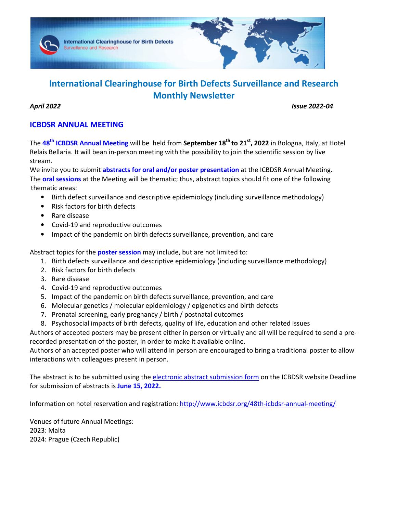

# **International Clearinghouse for Birth Defects Surveillance and Research Monthly Newsletter**

*April 2022 Issue 2022-04* 

## **ICBDSR ANNUAL MEETING**

The **48th ICBDSR Annual Meeting** will be held from **September 18th to 21st, 2022** in Bologna, Italy, at Hotel Relais Bellaria. It will bean in-person meeting with the possibility to join the scientific session by live stream.

We invite you to submit **abstracts for oral and/or poster presentation** at the ICBDSR Annual Meeting. The **oral sessions** at the Meeting will be thematic; thus, abstract topics should fit one of the following thematic areas:

- Birth defect surveillance and descriptive epidemiology (including surveillance methodology)
- Risk factors for birth defects
- Rare disease
- Covid-19 and reproductive outcomes
- Impact of the pandemic on birth defects surveillance, prevention, and care

Abstract topics for the **poster session** may include, but are not limited to:

- 1. Birth defects surveillance and descriptive epidemiology (including surveillance methodology)
- 2. Risk factors for birth defects
- 3. Rare disease
- 4. Covid-19 and reproductive outcomes
- 5. Impact of the pandemic on birth defects surveillance, prevention, and care
- 6. Molecular genetics / molecular epidemiology / epigenetics and birth defects
- 7. Prenatal screening, early pregnancy / birth / postnatal outcomes
- 8. Psychosocial impacts of birth defects, quality of life, education and other related issues

Authors of accepted posters may be present either in person or virtually and all will be required to send a prerecorded presentation of the poster, in order to make it available online.

Authors of an accepted poster who will attend in person are encouraged to bring a traditional poster to allow interactions with colleagues present in person.

The abstract is to be submitted using the electronic abstract submission form on the ICBDSR website Deadline for submission of abstracts is **June 15, 2022.**

Information on hotel reservation and registration: http://www.icbdsr.org/48th-icbdsr-annual-meeting/

Venues of future Annual Meetings: 2023: Malta 2024: Prague (Czech Republic)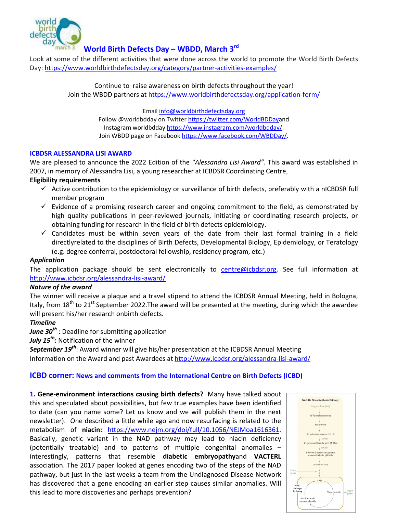

# **World Birth Defects Day – WBDD, March 3rd**

Look at some of the different activities that were done across the world to promote the World Birth Defects Day: https://www.worldbirthdefectsday.org/category/partner-activities-examples/

> Continue to raise awareness on birth defects throughout the year! Join the WBDD partners at https://www.worldbirthdefectsday.org/application-form/

> > Email info@worldbirthdefectsday.org Follow @worldbdday on Twitter https://twitter.com/WorldBDDayand Instagram worldbdday https://www.instagram.com/worldbdday/. Join WBDD page on Facebook https://www.facebook.com/WBDDay/.

## **ICBDSR ALESSANDRA LISI AWARD**

We are pleased to announce the 2022 Edition of the *"Alessandra Lisi Award".* This award was established in 2007, in memory of Alessandra Lisi, a young researcher at ICBDSR Coordinating Centre,

## **Eligibility requirements**

- $\checkmark$  Active contribution to the epidemiology or surveillance of birth defects, preferably with a nICBDSR full member program
- $\checkmark$  Evidence of a promising research career and ongoing commitment to the field, as demonstrated by high quality publications in peer-reviewed journals, initiating or coordinating research projects, or obtaining funding for research in the field of birth defects epidemiology.
- $\checkmark$  Candidates must be within seven years of the date from their last formal training in a field directlyrelated to the disciplines of Birth Defects, Developmental Biology, Epidemiology, or Teratology (e.g. degree conferral, postdoctoral fellowship, residency program, etc.)

## *Application*

The application package should be sent electronically to centre@icbdsr.org. See full information at http://www.icbdsr.org/alessandra-lisi-award/

## *Nature of the award*

The winner will receive a plaque and a travel stipend to attend the ICBDSR Annual Meeting, held in Bologna, Italy, from 18<sup>th</sup> to 21<sup>st</sup> September 2022. The award will be presented at the meeting, during which the awardee will present his/her research onbirth defects.

## *Timeline*

*June 30th* : Deadline for submitting application

*July 15th***:** Notification of the winner

*September 19th*: Award winner will give his/her presentation at the ICBDSR Annual Meeting Information on the Award and past Awardees at http://www.icbdsr.org/alessandra-lisi-award/

## **ICBD corner: News and comments from the International Centre on Birth Defects (ICBD)**

**1. Gene-environment interactions causing birth defects?** Many have talked about this and speculated about possibilities, but few true examples have been identified to date (can you name some? Let us know and we will publish them in the next newsletter). One described a little while ago and now resurfacing is related to the metabolism of **niacin:** https://www.nejm.org/doi/full/10.1056/NEJMoa1616361. Basically, genetic variant in the NAD pathway may lead to niacin deficiency (potentially treatable) and to patterns of multiple congenital anomalies – interestingly, patterns that resemble **diabetic embryopathy**and **VACTERL**  association. The 2017 paper looked at genes encoding two of the steps of the NAD pathway, but just in the last weeks a team from the Undiagnosed Disease Network has discovered that a gene encoding an earlier step causes similar anomalies. Will this lead to more discoveries and perhaps prevention?

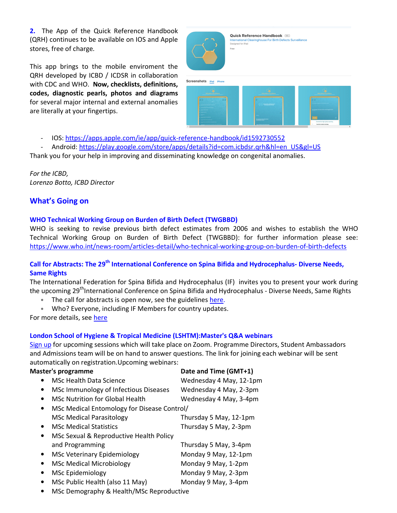**2.** The App of the Quick Reference Handbook (QRH) continues to be available on IOS and Apple stores, free of charge*.* 

This app brings to the mobile enviroment the QRH developed by ICBD / ICDSR in collaboration with CDC and WHO. **Now, checklists, definitions, codes, diagnostic pearls, photos and diagrams**  for several major internal and external anomalies are literally at your fingertips.



Quick Reference Handbook [12+]

Screenshots iPad



- IOS: https://apps.apple.com/ie/app/quick-reference-handbook/id1592730552

Android: https://play.google.com/store/apps/details?id=com.icbdsr.qrh&hl=en\_US&gl=US

Thank you for your help in improving and disseminating knowledge on congenital anomalies.

*For the ICBD, Lorenzo Botto, ICBD Director* 

## **What's Going on**

## **WHO Technical Working Group on Burden of Birth Defect (TWGBBD)**

WHO is seeking to revise previous birth defect estimates from 2006 and wishes to establish the WHO Technical Working Group on Burden of Birth Defect (TWGBBD): for further information please see: https://www.who.int/news-room/articles-detail/who-technical-working-group-on-burden-of-birth-defects

## **Call for Abstracts: The 29th International Conference on Spina Bifida and Hydrocephalus- Diverse Needs, Same Rights**

The International Federation for Spina Bifida and Hydrocephalus (IF) invites you to present your work during the upcoming 29<sup>th</sup>International Conference on Spina Bifida and Hydrocephalus - Diverse Needs, Same Rights

- The call for abstracts is open now, see the guidelines here.
- Who? Everyone, including IF Members for country updates.

For more details, see here

## **London School of Hygiene & Tropical Medicine (LSHTM):Master's Q&A webinars**

Sign up for upcoming sessions which will take place on Zoom. Programme Directors, Student Ambassadors and Admissions team will be on hand to answer questions. The link for joining each webinar will be sent automatically on registration.Upcoming webinars:

| <b>Master's programme</b> |                                             | Date and Time (GMT+1)   |
|---------------------------|---------------------------------------------|-------------------------|
|                           | <b>MSc Health Data Science</b>              | Wednesday 4 May, 12-1pm |
| ٠                         | MSc Immunology of Infectious Diseases       | Wednesday 4 May, 2-3pm  |
| ٠                         | <b>MSc Nutrition for Global Health</b>      | Wednesday 4 May, 3-4pm  |
| $\bullet$                 | MSc Medical Entomology for Disease Control/ |                         |
|                           | <b>MSc Medical Parasitology</b>             | Thursday 5 May, 12-1pm  |
| $\bullet$                 | <b>MSc Medical Statistics</b>               | Thursday 5 May, 2-3pm   |
| ٠                         | MSc Sexual & Reproductive Health Policy     |                         |
|                           | and Programming                             | Thursday 5 May, 3-4pm   |
| $\bullet$                 | <b>MSc Veterinary Epidemiology</b>          | Monday 9 May, 12-1pm    |
|                           | <b>MSc Medical Microbiology</b>             | Monday 9 May, 1-2pm     |
| ٠                         | <b>MSc Epidemiology</b>                     | Monday 9 May, 2-3pm     |
| ٠                         | MSc Public Health (also 11 May)             | Monday 9 May, 3-4pm     |
|                           | MSc Demography & Health/MSc Reproductive    |                         |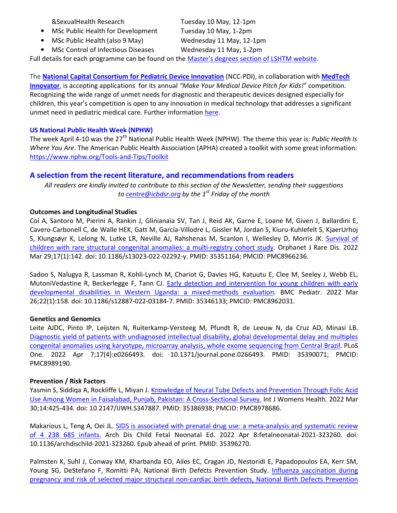&SexualHealth Research Tuesday 10 May, 12-1pm

- MSc Public Health for Development Tuesday 10 May, 1-2pm
- MSc Public Health (also 9 May) Wednesday 11 May, 12-1pm

• MSc Control of Infectious Diseases Wednesday 11 May, 1-2pm

Full details for each programme can be found on the Master's degrees section of LSHTM website.

The **National Capital Consortium for Pediatric Device Innovation** (NCC-PDI), in collaboration with **MedTech Innovator**, is accepting applications for its annual *"Make Your Medical Device Pitch for Kids!*" competition. Recognizing the wide range of unmet needs for diagnostic and therapeutic devices designed especially for children, this year's competition is open to any innovation in medical technology that addresses a significant unmet need in pediatric medical care. Further information here.

## **US National Public Health Week (NPHW)**

The week April 4-10 was the 27<sup>th</sup> National Public Health Week (NPHW). The theme this year is: *Public Health Is Where You Are*. The American Public Health Association (APHA) created a toolkit with some great information: https://www.nphw.org/Tools-and-Tips/Toolkit

## **A selection from the recent literature, and recommendations from readers**

*All readers are kindly invited to contribute to this section of the Newsletter, sending their suggestions to centre@icbdsr.org by the 1st Friday of the month*

## **Outcomes and Longitudinal Studies**

Coi A, Santoro M, Pierini A, Rankin J, Glinianaia SV, Tan J, Reid AK, Garne E, Loane M, Given J, Ballardini E, Cavero-Carbonell C, de Walle HEK, Gatt M, García-Villodre L, Gissler M, Jordan S, Kiuru-Kuhlefelt S, KjaerUrhoj S, Klungsøyr K, Lelong N, Lutke LR, Neville AJ, Rahshenas M, Scanlon I, Wellesley D, Morris JK. Survival of children with rare structural congenital anomalies: a multi-registry cohort study. Orphanet J Rare Dis. 2022 Mar 29;17(1):142. doi: 10.1186/s13023-022-02292-y. PMID: 35351164; PMCID: PMC8966236.

Sadoo S, Nalugya R, Lassman R, Kohli-Lynch M, Chariot G, Davies HG, Katuutu E, Clee M, Seeley J, Webb EL, MutoniVedastine R, Beckerlegge F, Tann CJ. Early detection and intervention for young children with early developmental disabilities in Western Uganda: a mixed-methods evaluation. BMC Pediatr. 2022 Mar 26;22(1):158. doi: 10.1186/s12887-022-03184-7. PMID: 35346133; PMCID: PMC8962031.

## **Genetics and Genomics**

Leite AJDC, Pinto IP, Leijsten N, Ruiterkamp-Versteeg M, Pfundt R, de Leeuw N, da Cruz AD, Minasi LB. Diagnostic yield of patients with undiagnosed intellectual disability, global developmental delay and multiples congenital anomalies using karyotype, microarray analysis, whole exome sequencing from Central Brazil. PLoS One. 2022 Apr 7;17(4):e0266493. doi: 10.1371/journal.pone.0266493. PMID: 35390071; PMCID: PMC8989190.

## **Prevention / Risk Factors**

Yasmin S, Siddiqa A, Rockliffe L, Miyan J. Knowledge of Neural Tube Defects and Prevention Through Folic Acid Use Among Women in Faisalabad, Punjab, Pakistan: A Cross-Sectional Survey. Int J Womens Health. 2022 Mar 30;14:425-434. doi: 10.2147/IJWH.S347887. PMID: 35386938; PMCID: PMC8978686.

Makarious L, Teng A, Oei JL. SIDS is associated with prenatal drug use: a meta-analysis and systematic review of 4 238 685 infants. Arch Dis Child Fetal Neonatal Ed. 2022 Apr 8:fetalneonatal-2021-323260. doi: 10.1136/archdischild-2021-323260. Epub ahead of print. PMID: 35396270.

Palmsten K, Suhl J, Conway KM, Kharbanda EO, Ailes EC, Cragan JD, Nestoridi E, Papadopoulos EA, Kerr SM, Young SG, DeStefano F, Romitti PA; National Birth Defects Prevention Study. Influenza vaccination during pregnancy and risk of selected major structural non-cardiac birth defects, National Birth Defects Prevention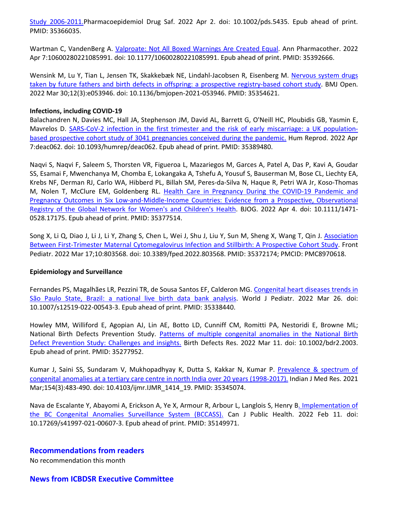Study 2006-2011.Pharmacoepidemiol Drug Saf. 2022 Apr 2. doi: 10.1002/pds.5435. Epub ahead of print. PMID: 35366035.

Wartman C, VandenBerg A. Valproate: Not All Boxed Warnings Are Created Equal. Ann Pharmacother. 2022 Apr 7:10600280221085991. doi: 10.1177/10600280221085991. Epub ahead of print. PMID: 35392666.

Wensink M, Lu Y, Tian L, Jensen TK, Skakkebæk NE, Lindahl-Jacobsen R, Eisenberg M. Nervous system drugs taken by future fathers and birth defects in offspring: a prospective registry-based cohort study. BMJ Open. 2022 Mar 30;12(3):e053946. doi: 10.1136/bmjopen-2021-053946. PMID: 35354621.

### **Infections, including COVID-19**

Balachandren N, Davies MC, Hall JA, Stephenson JM, David AL, Barrett G, O'Neill HC, Ploubidis GB, Yasmin E, Mavrelos D. SARS-CoV-2 infection in the first trimester and the risk of early miscarriage: a UK populationbased prospective cohort study of 3041 pregnancies conceived during the pandemic. Hum Reprod. 2022 Apr 7:deac062. doi: 10.1093/humrep/deac062. Epub ahead of print. PMID: 35389480.

Naqvi S, Naqvi F, Saleem S, Thorsten VR, Figueroa L, Mazariegos M, Garces A, Patel A, Das P, Kavi A, Goudar SS, Esamai F, Mwenchanya M, Chomba E, Lokangaka A, Tshefu A, Yousuf S, Bauserman M, Bose CL, Liechty EA, Krebs NF, Derman RJ, Carlo WA, Hibberd PL, Billah SM, Peres-da-Silva N, Haque R, Petri WA Jr, Koso-Thomas M, Nolen T, McClure EM, Goldenberg RL. Health Care in Pregnancy During the COVID-19 Pandemic and Pregnancy Outcomes in Six Low-and-Middle-Income Countries: Evidence from a Prospective, Observational Registry of the Global Network for Women's and Children's Health. BJOG. 2022 Apr 4. doi: 10.1111/1471- 0528.17175. Epub ahead of print. PMID: 35377514.

Song X, Li Q, Diao J, Li J, Li Y, Zhang S, Chen L, Wei J, Shu J, Liu Y, Sun M, Sheng X, Wang T, Qin J. Association Between First-Trimester Maternal Cytomegalovirus Infection and Stillbirth: A Prospective Cohort Study. Front Pediatr. 2022 Mar 17;10:803568. doi: 10.3389/fped.2022.803568. PMID: 35372174; PMCID: PMC8970618.

#### **Epidemiology and Surveillance**

Fernandes PS, Magalhães LR, Pezzini TR, de Sousa Santos EF, Calderon MG. Congenital heart diseases trends in São Paulo State, Brazil: a national live birth data bank analysis. World J Pediatr. 2022 Mar 26. doi: 10.1007/s12519-022-00543-3. Epub ahead of print. PMID: 35338440.

Howley MM, Williford E, Agopian AJ, Lin AE, Botto LD, Cunniff CM, Romitti PA, Nestoridi E, Browne ML; National Birth Defects Prevention Study. Patterns of multiple congenital anomalies in the National Birth Defect Prevention Study: Challenges and insights. Birth Defects Res. 2022 Mar 11. doi: 10.1002/bdr2.2003. Epub ahead of print. PMID: 35277952.

Kumar J, Saini SS, Sundaram V, Mukhopadhyay K, Dutta S, Kakkar N, Kumar P. Prevalence & spectrum of congenital anomalies at a tertiary care centre in north India over 20 years (1998-2017). Indian J Med Res. 2021 Mar;154(3):483-490. doi: 10.4103/ijmr.IJMR\_1414\_19. PMID: 35345074.

Nava de Escalante Y, Abayomi A, Erickson A, Ye X, Armour R, Arbour L, Langlois S, Henry B. Implementation of the BC Congenital Anomalies Surveillance System (BCCASS). Can J Public Health. 2022 Feb 11. doi: 10.17269/s41997-021-00607-3. Epub ahead of print. PMID: 35149971.

### **Recommendations from readers**

No recommendation this month

## **News from ICBDSR Executive Committee**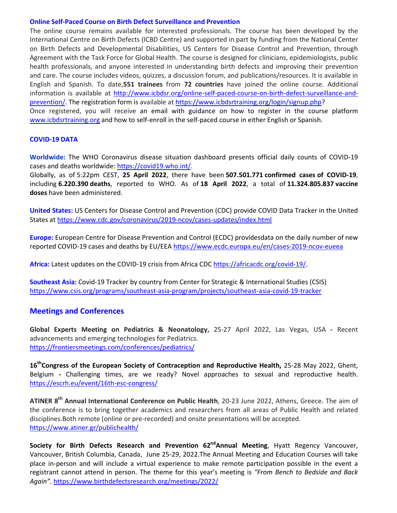#### **Online Self-Paced Course on Birth Defect Surveillance and Prevention**

The online course remains available for interested professionals. The course has been developed by the International Centre on Birth Defects (ICBD Centre) and supported in part by funding from the National Center on Birth Defects and Developmental Disabilities, US Centers for Disease Control and Prevention, through Agreement with the Task Force for Global Health. The course is designed for clinicians, epidemiologists, public health professionals, and anyone interested in understanding birth defects and improving their prevention and care. The course includes videos, quizzes, a discussion forum, and publications/resources. It is available in English and Spanish. To date,**551 trainees** from **72 countries** have joined the online course. Additional information is available at http://www.icbdsr.org/online-self-paced-course-on-birth-defect-surveillance-andprevention/. The registration form is available at https://www.icbdsrtraining.org/login/signup.php? Once registered, you will receive an email with guidance on how to register in the course platform www.icbdsrtraining.org and how to self-enroll in the self-paced course in either English or Spanish.

### **COVID-19 DATA**

**Worldwide:** The WHO Coronavirus disease situation dashboard presents official daily counts of COVID-19 cases and deaths worldwide: https://covid19.who.int/.

Globally, as of 5:22pm CEST, **25 April 2022**, there have been **507.501.771 confirmed cases of COVID-19**, including **6.220.390 deaths**, reported to WHO. As of **18 April 2022**, a total of **11.324.805.837 vaccine doses** have been administered.

**United States:** US Centers for Disease Control and Prevention (CDC) provide COVID Data Tracker in the United States at https://www.cdc.gov/coronavirus/2019-ncov/cases-updates/index.html

**Europe:** European Centre for Disease Prevention and Control (ECDC) providesdata on the daily number of new reported COVID-19 cases and deaths by EU/EEA https://www.ecdc.europa.eu/en/cases-2019-ncov-eueea

**Africa:** Latest updates on the COVID-19 crisis from Africa CDC https://africacdc.org/covid-19/.

**Southeast Asia:** Covid-19 Tracker by country from Center for Strategic & International Studies (CSIS) https://www.csis.org/programs/southeast-asia-program/projects/southeast-asia-covid-19-tracker

## **Meetings and Conferences**

**Global Experts Meeting on Pediatrics & Neonatology,** 25-27 April 2022, Las Vegas, USA **-** Recent advancements and emerging technologies for Pediatrics. https://frontiersmeetings.com/conferences/pediatrics/

**16thCongress of the European Society of Contraception and Reproductive Health,** 25-28 May 2022, Ghent, Belgium **-** Challenging times, are we ready? Novel approaches to sexual and reproductive health. https://escrh.eu/event/16th-esc-congress/

**ATINER 8th Annual International Conference on Public Health**, 20-23 June 2022, Athens, Greece. The aim of the conference is to bring together academics and researchers from all areas of Public Health and related disciplines.Both remote (online or pre-recorded) and onsite presentations will be accepted. https://www.atiner.gr/publichealth/

**Society for Birth Defects Research and Prevention 62<sup>nd</sup>Annual Meeting, Hyatt Regency Vancouver,** Vancouver, British Columbia, Canada, June 25-29, 2022.The Annual Meeting and Education Courses will take place in-person and will include a virtual experience to make remote participation possible in the event a registrant cannot attend in person. The theme for this year's meeting is *"From Bench to Bedside and Back Again"*. https://www.birthdefectsresearch.org/meetings/2022/